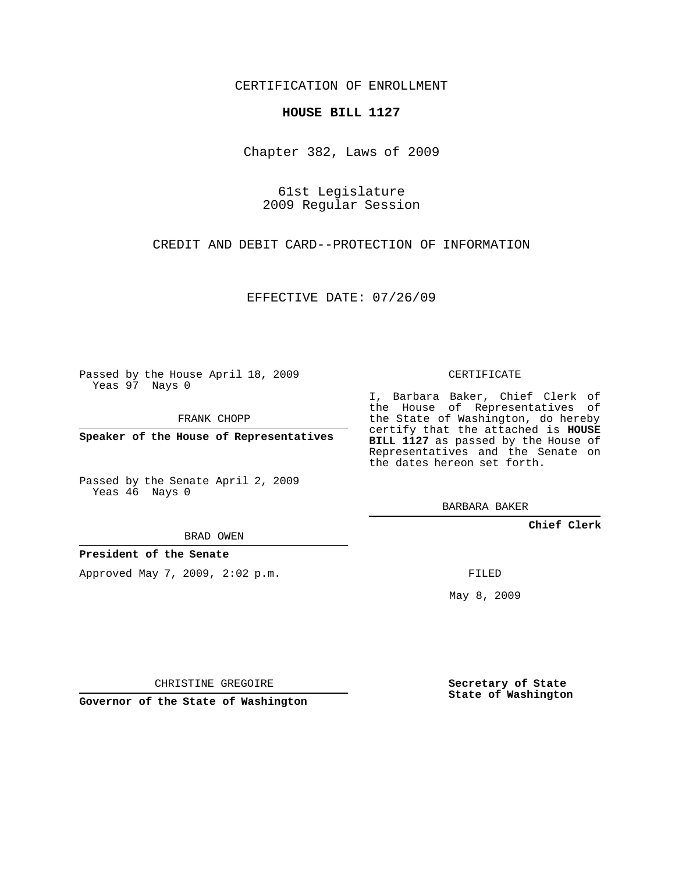CERTIFICATION OF ENROLLMENT

## **HOUSE BILL 1127**

Chapter 382, Laws of 2009

61st Legislature 2009 Regular Session

CREDIT AND DEBIT CARD--PROTECTION OF INFORMATION

EFFECTIVE DATE: 07/26/09

Passed by the House April 18, 2009 Yeas 97 Nays 0

FRANK CHOPP

**Speaker of the House of Representatives**

Passed by the Senate April 2, 2009 Yeas 46 Nays 0

BRAD OWEN

**President of the Senate**

Approved May 7, 2009, 2:02 p.m.

CERTIFICATE

I, Barbara Baker, Chief Clerk of the House of Representatives of the State of Washington, do hereby certify that the attached is **HOUSE BILL 1127** as passed by the House of Representatives and the Senate on the dates hereon set forth.

BARBARA BAKER

**Chief Clerk**

FILED

May 8, 2009

**Secretary of State State of Washington**

CHRISTINE GREGOIRE

**Governor of the State of Washington**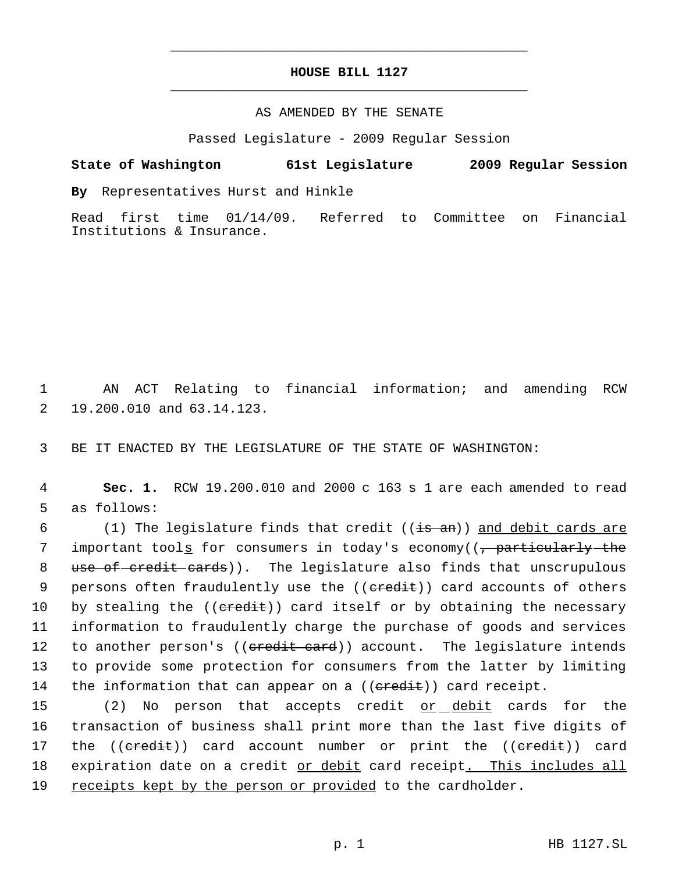## **HOUSE BILL 1127** \_\_\_\_\_\_\_\_\_\_\_\_\_\_\_\_\_\_\_\_\_\_\_\_\_\_\_\_\_\_\_\_\_\_\_\_\_\_\_\_\_\_\_\_\_

\_\_\_\_\_\_\_\_\_\_\_\_\_\_\_\_\_\_\_\_\_\_\_\_\_\_\_\_\_\_\_\_\_\_\_\_\_\_\_\_\_\_\_\_\_

## AS AMENDED BY THE SENATE

Passed Legislature - 2009 Regular Session

# **State of Washington 61st Legislature 2009 Regular Session**

**By** Representatives Hurst and Hinkle

Read first time 01/14/09. Referred to Committee on Financial Institutions & Insurance.

 1 AN ACT Relating to financial information; and amending RCW 2 19.200.010 and 63.14.123.

3 BE IT ENACTED BY THE LEGISLATURE OF THE STATE OF WASHINGTON:

 4 **Sec. 1.** RCW 19.200.010 and 2000 c 163 s 1 are each amended to read 5 as follows:

6  $(1)$  The legislature finds that credit (( $\frac{1}{15}$  and debit cards are 7 important tool<u>s</u> for consumers in today's economy((<del>, particularly the</del> 8 use of credit cards)). The legislature also finds that unscrupulous 9 persons often fraudulently use the ((eredit)) card accounts of others 10 by stealing the ((credit)) card itself or by obtaining the necessary 11 information to fraudulently charge the purchase of goods and services 12 to another person's ((eredit card)) account. The legislature intends 13 to provide some protection for consumers from the latter by limiting 14 the information that can appear on a (( $\epsilon$ redit)) card receipt.

15 (2) No person that accepts credit <u>or debit</u> cards for the 16 transaction of business shall print more than the last five digits of 17 the (( $\epsilon$ redit)) card account number or print the (( $\epsilon$ redit)) card 18 expiration date on a credit or debit card receipt. This includes all 19 receipts kept by the person or provided to the cardholder.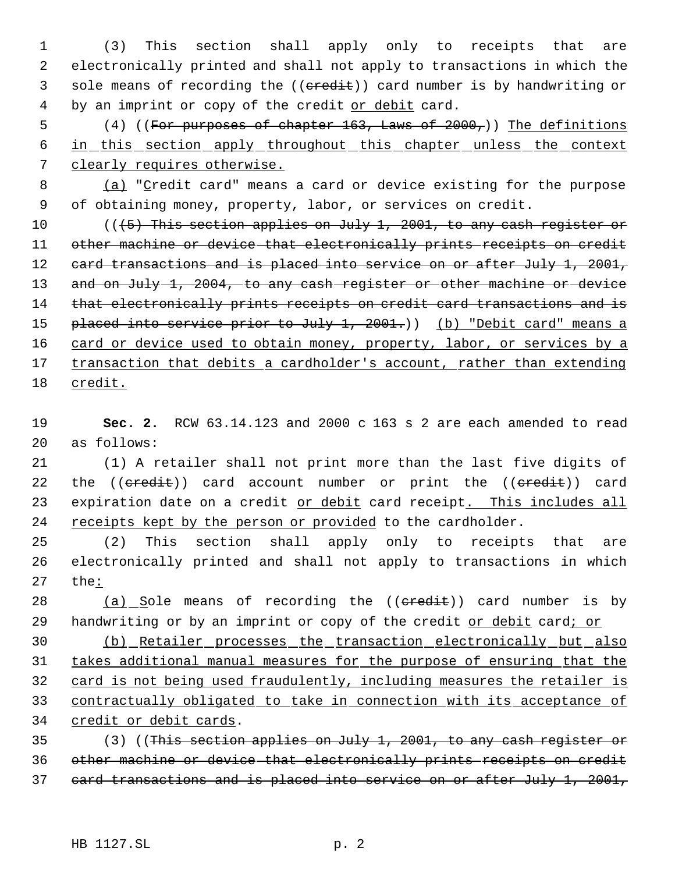1 (3) This section shall apply only to receipts that are 2 electronically printed and shall not apply to transactions in which the 3 sole means of recording the ((eredit)) card number is by handwriting or 4 by an imprint or copy of the credit or debit card.

5 (4) ((For purposes of chapter 163, Laws of 2000,)) The definitions 6 in this section apply throughout this chapter unless the context 7 clearly requires otherwise.

8 (a) "Credit card" means a card or device existing for the purpose 9 of obtaining money, property, labor, or services on credit.

10 (((5) This section applies on July 1, 2001, to any cash register or 11 other machine or device that electronically prints receipts on credit 12 card transactions and is placed into service on or after July 1, 2001, 13 and on July 1, 2004, to any cash register or other machine or device 14 that electronically prints receipts on credit card transactions and is 15 placed into service prior to July 1, 2001.)) (b) "Debit card" means a 16 card or device used to obtain money, property, labor, or services by a 17 transaction that debits a cardholder's account, rather than extending 18 credit.

19 **Sec. 2.** RCW 63.14.123 and 2000 c 163 s 2 are each amended to read 20 as follows:

21 (1) A retailer shall not print more than the last five digits of 22 the ((credit)) card account number or print the ((credit)) card 23 expiration date on a credit or debit card receipt. This includes all 24 receipts kept by the person or provided to the cardholder.

25 (2) This section shall apply only to receipts that are 26 electronically printed and shall not apply to transactions in which 27 the:

28 (a) Sole means of recording the ((eredit)) card number is by 29 handwriting or by an imprint or copy of the credit or debit card; or

 (b) Retailer processes the transaction electronically but also takes additional manual measures for the purpose of ensuring that the card is not being used fraudulently, including measures the retailer is contractually obligated to take in connection with its acceptance of 34 credit or debit cards.

35 (3) ((This section applies on July 1, 2001, to any cash register or 36 other machine or device that electronically prints receipts on credit 37 card transactions and is placed into service on or after July 1, 2001,